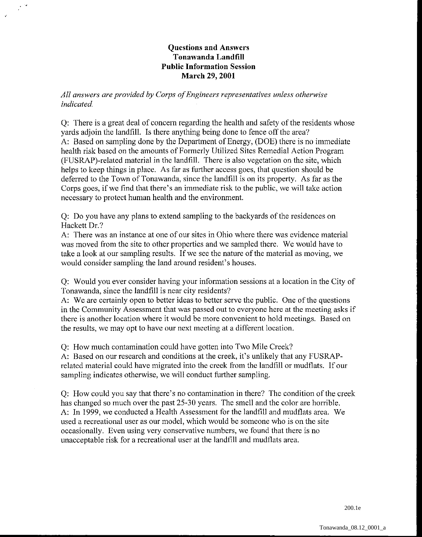## **Questions and Answers Tonawanda Landfill Public Information Session March 29,2001**

*All answers are provided by Corps of Engineers representatives unless otherwise indicated.* 

Q: There is a great deal of concern regarding the health and safety of the residents whose yards adjoin the landfill. Is there anything being done to fence off the area? A: Based on sampling done by the Department of Energy, (DOE) there is no immediate health risk based on the amounts of Formerly Utilized Sites Remedial Action Program (FUSRAP)-related material in the landfill. There is also vegetation on the site, which helps to keep things in place. As far as further access goes, that question should be deferred to the Town of Tonawanda, since the landfill is on its property. As far as the Corps goes, if we find that there's an immediate risk to the public, we will take action necessary to protect human health and the environment.

Q: Do you have any plans to extend sampling to the backyards of the residences on Hackett Dr.?

A: There was an instance at one of our sites in Ohio where there was evidence material was moved from the site to other properties and we sampled there. We would have to take a look at our sampling results. If we see the nature of the material as moving, we would consider sampling the land around resident's houses.

Q: Would you ever consider having your information sessions at a location in the City of Tonawanda, since the landfill is near city residents?

A: We are certainly open to better ideas to better serve the public. One of the questions in the Community Assessment that was passed out to everyone here at the meeting asks if there is another location where it would be more convenient to hold meetings. Based on the results, we may opt to have our next meeting at a different location.

Q: How much contamination could have gotten into Two Mile Creek?

A: Based on our research and conditions at the creek, it's unlikely that any FUSRAPrelated material could have migrated into the creek from the landfill or mudflats. If our sampling indicates otherwise, we will conduct further sampling.

Q: How could you say that there's no contamination in there? The condition of the creek has changed so much over the past 25-30 years. The smell and the color are horrible. A: In 1999, we conducted a Health Assessment for the landfill and mudflats area. We used a recreational user as our model. which would be someone who is on the site occasionally. Even using very conservative numbers, we found that there is no unacceptable risk for a recreational user at the landfill and mudflats area.

200.1e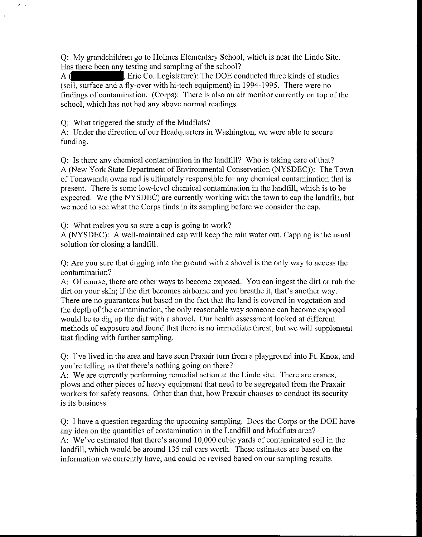Q: My grandchildren go to Holmes Elementary School, which is near the Linde Site. Has there been any testing and sampling of the school?

A ( Fie Co. Legislature): The DOE conducted three kinds of studies (soil, surface and a fly-over with hi-tech equipment) in 1994-1995. There were no findings of contamination. (Corps): There is also an air monitor currently on top of the school, which has not had any above normal readings.

Q: What triggered the study of the Mudflats?

A: Under the direction of our Headquarters in Washington, we were able to secure funding.

Q: Is there any chemical contamination in the landfill? Who is taking care of that? A (New York State Department of Environmental Conservation (NYSDEC)): The Town of Tonawanda owns and is ultimately responsible for any chemical contamination that is present. There is some low-level chemical contamination in the landfill, which is to be expected. We (the NYSDEC) are currently working with the town to cap the landfill, but we need to see what the Corps finds in its sampling before we consider the cap.

Q: What makes you so sure a cap is going to work?

A (NYSDEC): A well-maintained cap will keep the rain water out. Capping is the usual solution for closing a landfill.

Q: Are you sure that digging into the ground with a shovel is the only way to access the contamination?

A: Of course, there are other ways to become exposed. You can ingest the dirt or rub the dirt on your skin; if the dirt becomes airborne and you breathe it, that's another way. There are no guarantees but based on the fact that the land is covered in vegetation and the depth of the contamination, the only reasonable way someone can become exposed would be to dig up the dirt with a shovel. Our health assessment looked at different methods of exposure and found that there is no immediate threat, but we will supplement that finding with further sampling.

Q: I've lived in the area and have seen Praxair turn from a playground into Ft. Knox, and you're telling us that there's nothing going on there?

A: We are currently performing remedial action at the Linde site. There are cranes, plows and other pieces of heavy equipment that need to be segregated from the Praxair workers for safety reasons. Other than that, how Praxair chooses to conduct its security is its business.

Q: I have a question regarding the upcoming sampling. Does the Corps or the DOE have any idea on the quantities of contamination in the Landfill and Mudflats area? A: We've estimated that there's around 10,000 cubic yards of contaminatcd soil in the landfill, which would be around 135 rail cars worth. These estimates are based on the information we currently have, and could be revised based on our sampling results.